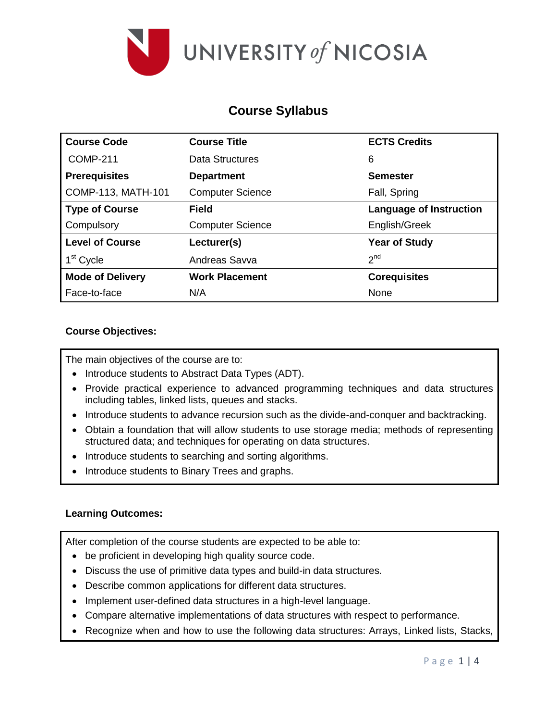

# **Course Syllabus**

| <b>Course Code</b>      | <b>Course Title</b>     | <b>ECTS Credits</b>            |
|-------------------------|-------------------------|--------------------------------|
| <b>COMP-211</b>         | Data Structures         | 6                              |
| <b>Prerequisites</b>    | <b>Department</b>       | <b>Semester</b>                |
| COMP-113, MATH-101      | <b>Computer Science</b> | Fall, Spring                   |
| <b>Type of Course</b>   | Field                   | <b>Language of Instruction</b> |
| Compulsory              | <b>Computer Science</b> | English/Greek                  |
| <b>Level of Course</b>  | Lecturer(s)             | <b>Year of Study</b>           |
| 1 <sup>st</sup> Cycle   | Andreas Savva           | 2 <sup>nd</sup>                |
| <b>Mode of Delivery</b> | <b>Work Placement</b>   | <b>Corequisites</b>            |
| Face-to-face            | N/A                     | None                           |

## **Course Objectives:**

The main objectives of the course are to:

- Introduce students to Abstract Data Types (ADT).
- Provide practical experience to advanced programming techniques and data structures including tables, linked lists, queues and stacks.
- Introduce students to advance recursion such as the divide-and-conquer and backtracking.
- Obtain a foundation that will allow students to use storage media; methods of representing structured data; and techniques for operating on data structures.
- Introduce students to searching and sorting algorithms.
- Introduce students to Binary Trees and graphs.

### **Learning Outcomes:**

After completion of the course students are expected to be able to:

- be proficient in developing high quality source code.
- Discuss the use of primitive data types and build-in data structures.
- Describe common applications for different data structures.
- Implement user-defined data structures in a high-level language.
- Compare alternative implementations of data structures with respect to performance.
- Recognize when and how to use the following data structures: Arrays, Linked lists, Stacks,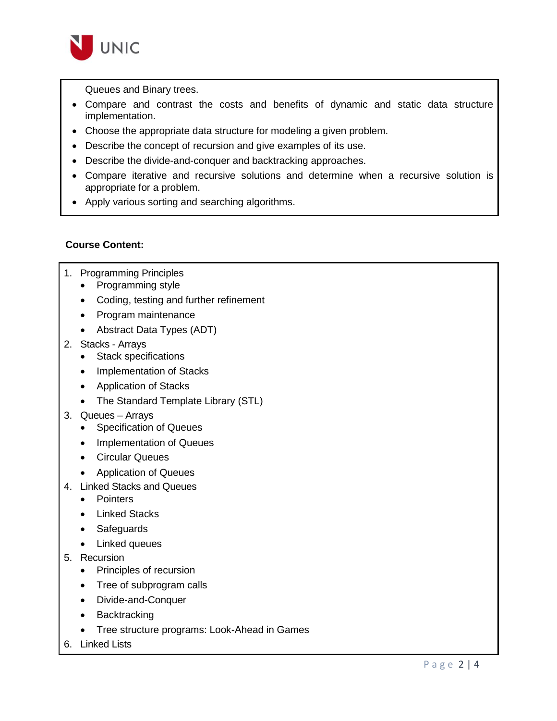

Queues and Binary trees.

- Compare and contrast the costs and benefits of dynamic and static data structure implementation.
- Choose the appropriate data structure for modeling a given problem.
- Describe the concept of recursion and give examples of its use.
- Describe the divide-and-conquer and backtracking approaches.
- Compare iterative and recursive solutions and determine when a recursive solution is appropriate for a problem.
- Apply various sorting and searching algorithms.

## **Course Content:**

- 1. Programming Principles
	- Programming style
	- Coding, testing and further refinement
	- Program maintenance
	- Abstract Data Types (ADT)
- 2. Stacks Arrays
	- Stack specifications
	- Implementation of Stacks
	- Application of Stacks
	- The Standard Template Library (STL)
- 3. Queues Arrays
	- Specification of Queues
	- Implementation of Queues
	- Circular Queues
	- Application of Queues
- 4. Linked Stacks and Queues
	- Pointers
	- Linked Stacks
	- Safeguards
	- Linked queues
- 5. Recursion
	- Principles of recursion
	- Tree of subprogram calls
	- Divide-and-Conquer
	- Backtracking
	- Tree structure programs: Look-Ahead in Games
- 6. Linked Lists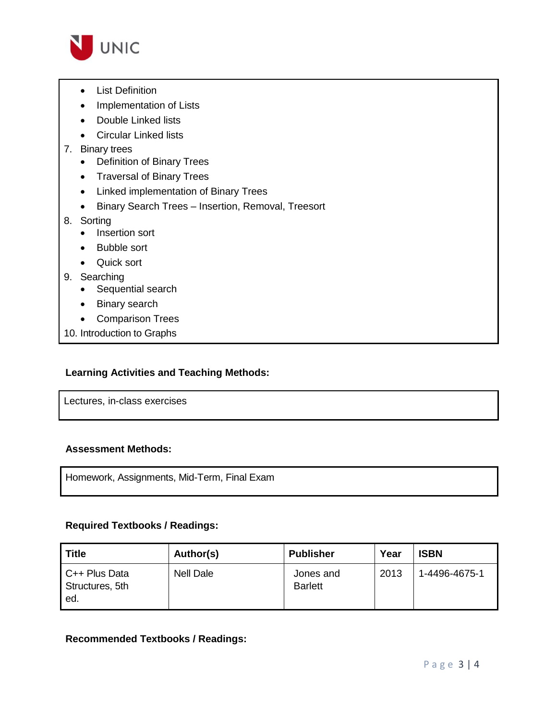

- List Definition
- Implementation of Lists
- Double Linked lists
- Circular Linked lists
- 7. Binary trees
	- Definition of Binary Trees
	- Traversal of Binary Trees
	- Linked implementation of Binary Trees
	- Binary Search Trees Insertion, Removal, Treesort
- 8. Sorting
	- Insertion sort
	- Bubble sort
	- Quick sort
- 9. Searching
	- Sequential search
	- Binary search
	- Comparison Trees
- 10. Introduction to Graphs

### **Learning Activities and Teaching Methods:**

Lectures, in-class exercises

#### **Assessment Methods:**

Homework, Assignments, Mid-Term, Final Exam

### **Required Textbooks / Readings:**

| Title                                       | Author(s)        | <b>Publisher</b>            | Year | <b>ISBN</b>   |
|---------------------------------------------|------------------|-----------------------------|------|---------------|
| $C++$ Plus Data<br>Structures, 5th<br>l ed. | <b>Nell Dale</b> | Jones and<br><b>Barlett</b> | 2013 | 1-4496-4675-1 |

### **Recommended Textbooks / Readings:**